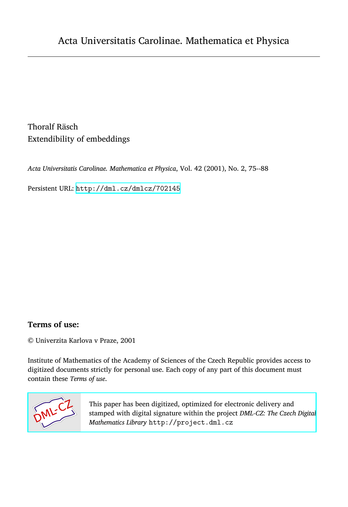Thoralf Räsch Extendibility of embeddings

*Acta Universitatis Carolinae. Mathematica et Physica*, Vol. 42 (2001), No. 2, 75--88

Persistent URL: <http://dml.cz/dmlcz/702145>

# **Terms of use:**

© Univerzita Karlova v Praze, 2001

Institute of Mathematics of the Academy of Sciences of the Czech Republic provides access to digitized documents strictly for personal use. Each copy of any part of this document must contain these *Terms of use*.



[This paper has been digitized, optimized for electronic delivery and](http://project.dml.cz) stamped with digital signature within the project *DML-CZ: The Czech Digital Mathematics Library* http://project.dml.cz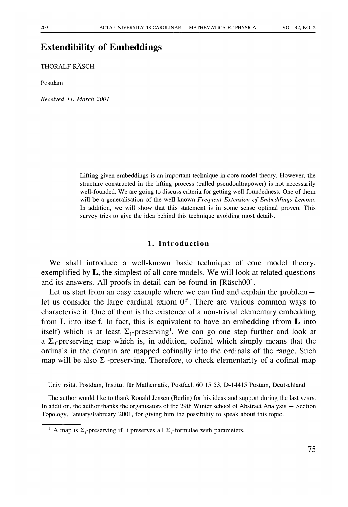# **Extendibilit**y **of Embeddings**

THORALF RAS**C**H

Postdam

*Received 11. March 2001* 

Lifti*n*g give*n* embeddi*n*gs is a*n* importa*n*t tech*n*ique i*n* core model theory. However, the structure co*n*structed i*n* the lifti*n*g process (called pseudoultrapower) is *n*ot *n*ecessarily well-fou*n*ded*.* We are goi*n*g to discuss criteria for getti*n*g well-fou*n*ded*n*ess*.* O*n*e of them will be a ge*n*eralisatio*n* of the well-k*n*ow*n Frequent Extension of Embeddings Lemma.*  I*n* additio*n*, we will show that this stateme*n*t is i*n* some se*n*se optimal prove*n.* This survey tries to give the idea behi*n*d this tech*n*ique avoidi*n*g most details*.* 

#### **1. Introduction**

We shall introduce a well-known basic technique of core model theory, exemplified by L, the simplest of all core models. We will look at related questions and its answers. All proofs in detail can be found in [Räsch00].

Let us start from an easy example where we can find and explain the problem let us consider the large cardinal axiom  $0^*$ . There are various common ways to characterise it. One of them is the existence of a non-trivial elementary embedding from  $\bf{L}$  into itself. In fact, this is equivalent to have an embedding (from  $\bf{L}$  into itself) which is at least  $\Sigma_1$ -preserving<sup>1</sup>. We can go one step further and look at a  $\Sigma_0$ -preserving map which is, in addition, cofinal which simply means that the ordinals in the domain are mapped cofinally into the ordinals of the range. Such map will be also  $\Sigma_1$ -preserving. Therefore, to check elementarity of a cofinal map

U*n*iv rsitat Postdam, I*n*stitut fiir Mathematik, Postfach 60 15 53, D-14415 Postam, Deutschla*n*d

The author would like to tha*n*k Ro*n*ald Je*n*se*n* (Berli*n)* for his ideas a*n*d support duri*n*g the last years. I*n* addit o*n*, the author tha*n*ks the orga*n*isators of the 29th Wi*n*ter school of Abstract A*n*alysis — Sectio*n*  Topology, Ja*n*uary/Fabruary 2001, for givi*n*g him the possibility to speak about this topic.

<sup>&</sup>lt;sup>1</sup> A map is  $\Sigma_1$ -preserving if t preserves all  $\Sigma_1$ -formulae with parameters.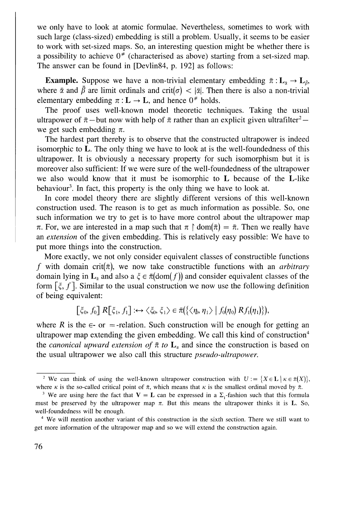we only have to look at atomic formulae. Nevertheless, sometimes to work with such large (class-sized) embedding is still a problem. Usually, it seems to be easier to work with set-sized maps. So, an interesting question might be whether there is a possibility to achieve  $0^*$  (characterised as above) starting from a set-sized map. The answer can be found in [Devlin84, p. 192] as follows:

**Example.** Suppose we have a non-trivial elementary embedding  $\bar{\pi}: L_{\bar{\alpha}} \to L_{\bar{\beta}}$ , where  $\bar{\alpha}$  and  $\bar{\beta}$  are limit ordinals and crit( $\sigma$ )  $<$   $|\bar{\alpha}|$ . Then there is also a non-trivial elementary embedding  $\pi : L \to L$ , and hence  $0^*$  holds.

The proof uses well-known model theoretic techniques*.* Taking the usual ultrapower of  $\bar{\pi}$  — but now with help of  $\bar{\pi}$  rather than an explicit given ultrafilter<sup>2</sup> we get such embedding  $\pi$ .

The hardest part thereby is to observe that the constructed ultrapower is indeed isomorphic to L*.* The only thing we have to look at is the well-foundedness of this ultrapower. It is obviously a necessary property for such isomorphism but it is moreover also sufficient: If we were sure of the well-foundedness of the ultrapower we also would know that it must be isomorphic to L because of the L-like behaviour<sup>3</sup>. In fact, this property is the only thing we have to look at.

In core model theory there are slightly different versions of this well-known construction used. The reason is to get as much information as possible. So, one such information we try to get is to have more control about the ultrapower map  $\pi$ . For, we are interested in a map such that  $\pi \upharpoonright \text{dom}(\bar{\pi}) = \bar{\pi}$ . Then we really have an *extension* of the given embedding. This is relatively easy possible: We have to put more things into the construction.

More exactly, we not only consider equivalent classes of constructible functions *f* with domain crit( $\bar{\pi}$ ), we now take constructible functions with an *arbitrary* domain lying in  $\mathbf{L}_{\bar{x}}$  and also a  $\xi \in \bar{\pi}(\text{dom}(f))$  and consider equivalent classes of the form  $[\xi, f]$ . Similar to the usual construction we now use the following definition of being equivalent:

$$
\[\xi_0, f_0\] \, R\[\xi_1, f_1\] : \leftrightarrow \langle \xi_0, \xi_1 \rangle \in \bar{\pi}(\{\langle \eta, \eta_1 \rangle \, | \, f_0(\eta_0) \, R f_1(\eta_1)\},\]
$$

where *R* is the  $\epsilon$ - or =-relation. Such construction will be enough for getting an ultrapower map extending the given embedding. We call this kind of construction<sup>4</sup> the *canonical upward extension of*  $\bar{\pi}$  to  $\mathbf{L}_{\alpha}$  and since the construction is based on the usual ultrapower we also call this structure *pseudo-ultrapower.* 

<sup>&</sup>lt;sup>2</sup> We can think of using the well-known ultrapower construction with  $U := \{X \in L \mid \kappa \in \bar{\pi}(X)\}\,$ , where  $\kappa$  is the so-called critical point of  $\bar{\pi}$ , which means that  $\kappa$  is the smallest ordinal moved by  $\bar{\pi}$ .

<sup>&</sup>lt;sup>3</sup> We are using here the fact that  $V = L$  can be expressed in a  $\Sigma_1$ -fashion such that this formula must be preserved by the u*l*trapower map *n.* But this mea*n*s the u*l*trapower thi*n*ks it is L. So, we*l*l-fou*n*ded*n*ess will be e*n*ough.

**<sup>4</sup>** We will me*n*tio*n* a*n*other varia*n*t of this co*n*structio*n* i*n* the s*i*xth sectio*n*. There **w**e still wa*n*t to get more i*n*formatio*n* of the ultrapower map a*n*d so **w**e will exte*n*d the co*n*structio*n* agai*n*.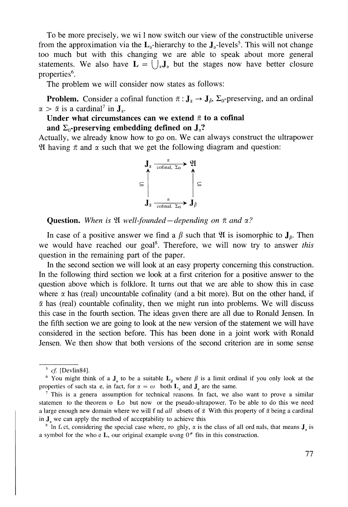To be more precisely, we wi 1 now switch our view of the constructible universe from the approximation via the  $L_{\alpha}$ -hierarchy to the  $J_{\alpha}$ -levels<sup>5</sup>. This will not change too much but with this changing we are able to speak about more general statements. We also have  $\mathbf{L} = \begin{pmatrix} 1 \\ 0 \end{pmatrix}$  but the stages now have better closure properties<sup>6</sup>.

The problem we will consider now states as follows:

**Problem.** Consider a cofinal function  $\bar{\pi}: J_{\bar{a}} \to J_{\bar{b}}$ ,  $\Sigma_0$ -preserving, and an ordinal  $\alpha > \bar{\alpha}$  is a cardinal<sup>7</sup> in  $J_{\alpha}$ .

Under what circumstances can we extend  $\bar{\pi}$  to a cofinal

and  $\Sigma_0$ -preserving embedding defined on  $J_\alpha$ ?

Actually, we already know how to go on. We can always construct the ultrapower 21 having  $\bar{\pi}$  and  $\alpha$  such that we get the following diagram and question:



**Question.** *When is* 21 *well-founded —depending on ft and a?* 

In case of a positive answer we find a  $\beta$  such that  $\mathfrak A$  is isomorphic to  $J_\beta$ . Then we would have reached our goal<sup>8</sup>. Therefore, we will now try to answer this question in the remaining part of the paper.

In the second section we will look at an easy property concerning this construction. In the following third section we look at a first criterion for a positive answer to the question above which is folklore. It turns out that we are able to show this in case where  $\alpha$  has (real) uncountable cofinality (and a bit more). But on the other hand, if  $\bar{\alpha}$  has (real) countable cofinality, then we might run into problems. We will discuss this case in the fourth section. The ideas given there are all due to Ronald Jensen. In the fifth section we are going to look at the new version of the statement we will have considered in the section before. This has been done in a joint work with Ronald Jensen. We then show that both versions of the second criterion are in some sense

<sup>5</sup>  *cf* [Devlin84].

<sup>&</sup>lt;sup>6</sup> You might think of a  $J_{\alpha}$  to be a suitable  $L_{\beta}$  where  $\beta$  is a limit ordinal if you only look at the properties of such sta e, in fact, for  $\alpha = \omega$  both  $L_{\alpha}$  and  $J_{\alpha}$  are the same.

<sup>7</sup> This is a gene*r*a assumption fo*r* technical *r*easons. In fact, we also want to p*r*ove a simila*r*  statemen to the theo*r*em o Lo but now o*r* the pseudo-ult*r*apowe*r*. To be able to do this we need a large enough new domain where we will f nd *all* ubsets of  $\bar{\alpha}$  With this property of  $\bar{\alpha}$  being a cardinal in  $J<sub>a</sub>$  we can apply the method of acceptability to achieve this

<sup>&</sup>lt;sup>8</sup> In f. ct, considering the special case where, ro ghly,  $\alpha$  is the class of all ord nals, that means  $J_{\alpha}$  is a symbol for the who e L, our original example using  $0^*$  fits in this construction.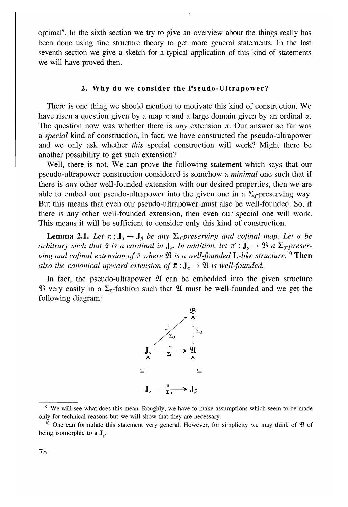optimal<sup>9</sup> . In the sixth section we try to give an overview about the things really has been done using fine structure theory to get more general statements*.* In the last seventh section we give a sketch for a typical application of this kind of statements we will have proved then*.* 

## *2.* Why **do we consider the Pseu**d**o-**U**ltrapower?**

There is one thing we should mention to motivate this kind of construction. We have risen a question given by a map  $\bar{\pi}$  and a large domain given by an ordinal  $\alpha$ . The question now was whether there is *any* extension  $\pi$ . Our answer so far was a *special* kind of construction, in fact, we have constructed the pseudo-ultrapower and we only ask whether *this* special construction will work? Might there be another possibility to get such extension?

Well, there is not. We can prove the following statement which says that our pseudo-ultrapower construction considered is somehow a *minimal* one such that if there is *any* other well-founded extension with our desired properties, then we are able to embed our pseudo-ultrapower into the given one in a  $\Sigma_0$ -preserving way. But this means that even our pseudo-ultrapower must also be well-founded*.* So, if there is any other well-founded extension, then even our special one will work*.*  This means it will be sufficient to consider only this kind of construction*.* 

**Lemma 2.1.** Let  $\bar{\pi}$  :  $J_{\bar{x}} \rightarrow J_{\bar{p}}$  be any  $\Sigma_0$ -preserving and cofinal map. Let  $\alpha$  be arbitrary such that  $\bar{\alpha}$  is a cardinal in  $J_\alpha$ . In addition, let  $\pi': J_\alpha \to \mathfrak{B}$  a  $\Sigma_0$ -preser*ving and cofinal extension of*  $\bar{\pi}$  *where*  $\mathfrak{B}$  *is a well-founded L-like structure.*<sup>10</sup> Then *also the canonical upward extension of*  $\bar{\pi}$  :  $J_{\alpha}$   $\rightarrow$  91 *is well-founded.* 

In fact, the pseudo-ultrapower 91 can be embedded into the given structure  $\mathfrak{B}$  very easily in a  $\Sigma_0$ -fashion such that  $\mathfrak A$  must be well-founded and we get the following diagram:



<sup>9</sup> We will see what does this mea*n*. Roughly, we have to make assumptions which seem to be made only fo*r* technical *r*easons but we will show that they a*r*e necessa*r*y*.* 

<sup>10</sup> One can fo*r*mulate this stateme*n*t ve*r*y ge*n*e*r*al*.* Howeve*r*, fo*r* simplicity we may thi*n*k of 53 of being isomorphic to a **J**<sub>y</sub>.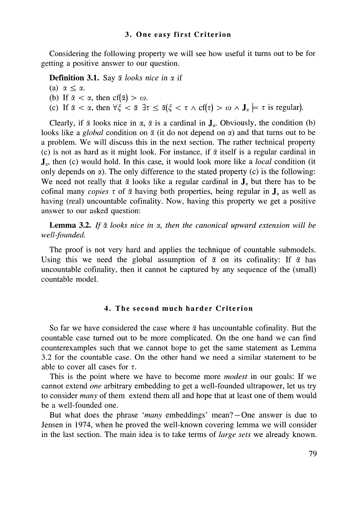### 3**. One eas**y **first Criterion**

Considering the following property we will see how useful it turns out to be for getting a positive answer to our question*.* 

**Definition 3.1.** Say  $\bar{\alpha}$  looks nice in  $\alpha$  if

(a)  $\alpha \leq \alpha$ . (b) If  $\bar{\alpha} < \alpha$ , then  $cf(\bar{\alpha}) > \omega$ . (c) If  $\bar{\alpha} < \alpha$ , then  $\forall \xi < \bar{\alpha} \exists \tau \leq \bar{\alpha} (\xi < \tau \wedge cf(\tau) > \omega \wedge J_{\alpha} \models \tau$  is regular).

Clearly, if  $\bar{\alpha}$  looks nice in  $\alpha$ ,  $\bar{\alpha}$  is a cardinal in  $J_{\alpha}$ . Obviously, the condition (b) looks like a *global* condition on  $\bar{\alpha}$  (it do not depend on  $\alpha$ ) and that turns out to be a problem*.* We will discuss this in the next section*.* The rather technical property (c) is not as hard as it might look. For instance, if  $\bar{\alpha}$  itself is a regular cardinal in Ja, then (c) would hold*.* In this case, it would look more like a *local* condition (it only depends on  $\alpha$ ). The only difference to the stated property (c) is the following: We need not really that  $\bar{\alpha}$  looks like a regular cardinal in  $J_{\alpha}$  but there has to be cofinal many *copies*  $\tau$  of  $\bar{\alpha}$  having both properties, being regular in  $J_{\alpha}$  as well as having (real) uncountable cofinality*.* Now, having this property we get a positive answer to our asked question:

**Lemma 3.2.** If  $\bar{\alpha}$  looks nice in  $\alpha$ , then the canonical upward extension will be *well-founded.* 

The proof is not very hard and applies the technique of countable submodels. Using this we need the global assumption of  $\bar{\alpha}$  on its cofinality: If  $\bar{\alpha}$  has uncountable cofinality, then it cannot be captured by any sequence of the (small) countable model.

## **4.** T**he second much harder Criterion**

So far we have considered the case where  $\bar{\alpha}$  has uncountable cofinality. But the countable case turned out to be more complicated. On the one hand we can find counterexamples such that we cannot hope to get the same statement as Lemma 3.2 for the countable case. On the other hand we need a similar statement to be able to cover all cases for  $\tau$ .

This is the point where we have to become more *modest* in our goals: If we cannot extend *one* arbitrary embedding to get a well-founded ultrapower, let us try to consider *many* of them extend them all and hope that at least one of them would be a well-founded one.

But what does the phrase *'many* embeddings' mean? —One answer is due to Jensen in 1974, when he proved the well-known covering lemma we will consider in the last section. The main idea is to take terms of *large sets* we already known.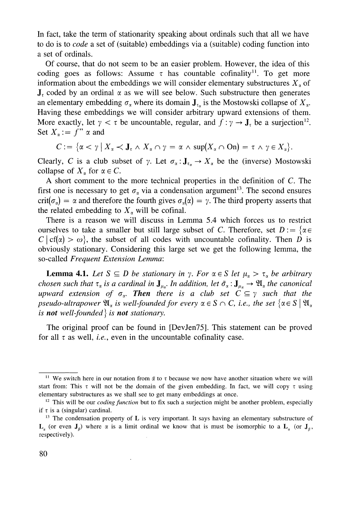In fact, take the term of stationarity speaking about ordinals such that all we have to do is to *code* a set of (suitable) embeddings via a (suitable) coding function into a set of ordinals.

Of course, that do not seem to be an easier problem. However, the idea of this coding goes as follows: Assume  $\tau$  has countable cofinality<sup>11</sup>. To get more information about the embeddings we will consider elementary substructures  $X<sub>a</sub>$  of  $J<sub>z</sub>$  coded by an ordinal  $\alpha$  as we will see below. Such substructure then generates an elementary embedding  $\sigma_{\alpha}$  where its domain  $J_{\tau_{\alpha}}$  is the Mostowski collapse of  $X_{\alpha}$ . Having these embeddings we will consider arbitrary upward extensions of them. More exactly, let  $\gamma < \tau$  be uncountable, regular, and  $f : \gamma \to J_{\tau}$  be a surjection<sup>12</sup>. Set  $X_{\alpha} := f'' \alpha$  and

$$
C := \{ \alpha < \gamma \mid X_{\alpha} < \mathbf{J}_{\tau} \land X_{\alpha} \cap \gamma = \alpha \land \sup(X_{\alpha} \cap \mathbf{On}) = \tau \land \gamma \in X_{\alpha} \}.
$$

Clearly, C is a club subset of  $\gamma$ . Let  $\sigma_{\alpha}: \mathbf{J}_{\tau_{\alpha}} \to X_{\alpha}$  be the (inverse) Mostowski collapse of  $X_\alpha$  for  $\alpha \in C$ .

A short comment to the more technical properties in the definition of *C.* The first one is necessary to get  $\sigma_{\alpha}$  via a condensation argument<sup>13</sup>. The second ensures  $crit(\sigma_{\alpha}) = \alpha$  and therefore the fourth gives  $\sigma_{\alpha}(\alpha) = \gamma$ . The third property asserts that the related embedding to  $X_\alpha$  will be cofinal.

There is a reason we will discuss in Lemma 5.4 which forces us to restrict ourselves to take a smaller but still large subset of C. Therefore, set  $D := \{ \alpha \in$  $C | cf(\alpha) > \omega$ , the subset of all codes with uncountable cofinality. Then *D* is obviously stationary*.* Considering this large set we get the following lemma, the so-called *Frequent Extension Lemma:* 

**Lemma 4.1.** Let  $S \subseteq D$  be stationary in  $\gamma$ . For  $\alpha \in S$  let  $\mu_{\alpha} > \tau_{\alpha}$  be arbitrary *chosen such that*  $\tau_{\alpha}$  *is a cardinal in*  $J_{\mu}$ *, In addition, let*  $\tilde{\sigma}_{\alpha}$ *:*  $J_{\mu}$   $\to$   $\mathfrak{A}_{\alpha}$  *the canonical upward extension of*  $\sigma_{\alpha}$ *. Then there is a club set*  $C \subseteq \gamma$  *such that the pseudo-ultrapower*  $\mathfrak{A}_\alpha$  *is well-founded for every*  $\alpha \in S \cap C$ *, i.e., the set*  $\{\alpha \in S \mid \mathfrak{A}_\alpha\}$ *is not well-founded} is not stationary.* 

The original proof can be found in [DevJen75]. This statement can be proved for all  $\tau$  as well, *i.e.*, even in the uncountable cofinality case.

<sup>&</sup>lt;sup>11</sup> We switch here in our notation from  $\bar{\alpha}$  to  $\tau$  because we now have another situation where we will start from: This  $\tau$  will not be the domain of the given embedding. In fact, we will copy  $\tau$  using e*l*ementary substructures as we sha*ll* see to get many embeddings at once.

<sup>&</sup>lt;sup>12</sup> This will be our *coding function* but to fix such a surjection might be another problem, especially if  $\tau$  is a (singular) cardinal.

<sup>&</sup>lt;sup>13</sup> The condensation property of **L** is very important. It says having an elementary substructure of  $L_{\alpha}$  (or even  $J_{\beta}$ ) where  $\alpha$  is a limit ordinal we know that is must be isomorphic to a  $L_{\alpha}$  (or  $J_{\beta}$ ). respective*l*y*).*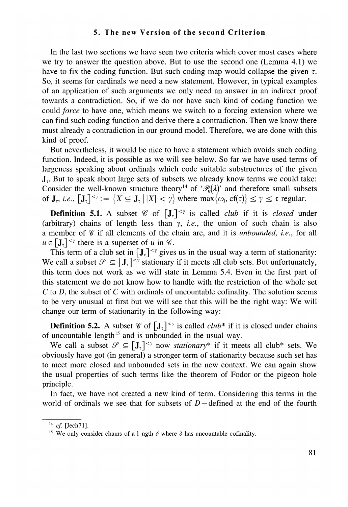# **5.** T**he new Version of the second Criterion**

In the last two sections we have seen two criteria which cover most cases where we try to answer the question above. But to use the second one (Lemma 4.1) we have to fix the coding function. But such coding map would collapse the given  $\tau$ . So, it seems for cardinals we need a new statement*.* However, in typical examples of an application of such arguments we only need an answer in an indirect proof towards a contradiction*.* So, if we do not have such kind of coding function we could *force* to have one, which means we switch to a forcing extension where we can find such coding function and derive there a contradiction*.* Then we know there must already a contradiction in our ground model*.* Therefore, we are done with this kind of proof*.* 

But nevertheless, it would be nice to have a statement which avoids such coding function*.* Indeed, it is possible as we will see below*.* So far we have used terms of largeness speaking about ordinals which code suitable substructures of the given  $J<sub>r</sub>$ . But to speak about large sets of subsets we already know terms we could take: Consider the well-known structure theory<sup>14</sup> of ' $\mathcal{P}_k(\lambda)$ ' and therefore small subsets of  $J_t$ , *i.e.*,  $[J_t]^{<\gamma} := \{ X \subseteq J_t | |X| < \gamma \}$  where  $\max\{\omega_t, \text{cf}(\tau)\} \leq \gamma \leq \tau$  regular.

**Definition 5.1.** A subset  $\mathscr{C}$  of  $[J_\tau]^{<\gamma}$  is called *club* if it is *closed* under (arbitrary) chains of length less than  $\gamma$ , *i.e.*, the union of such chain is also a member of  $\mathscr C$  if all elements of the chain are, and it is *unbounded, i.e.*, for all  $u \in [\mathbf{J}_{\tau}]^{<\gamma}$  there is a superset of *u* in  $\mathscr{C}$ .

This term of a club set in  $[J_\tau]^{<\gamma}$  gives us in the usual way a term of stationarity: We call a subset  $\mathscr{S} \subseteq [\mathbf{J}_{\tau}]^{<\gamma}$  stationary if it meets all club sets. But unfortunately, this term does not work as we will state in Lemma 5.4. Even in the first part of this statement we do not know how to handle with the restriction of the whole set C to *D,* the subset of C with ordinals of uncountable cofinality. The solution seems to be very unusual at first but we will see that this will be the right way: We will change our term of stationarity in the following way:

**Definition 5.2.** A subset  $\mathscr{C}$  of  $\left[\mathbf{J}_{\tau}\right]^{<\gamma}$  is called *club*<sup>\*</sup> if it is closed under chains of uncountable length<sup>15</sup> and is unbounded in the usual way.

We call a subset  $\mathscr{S} \subseteq [\mathbf{J}_\tau]^{<\gamma}$  now *stationary*<sup>\*</sup> if it meets all club<sup>\*</sup> sets. We obviously have got (in general) a stronger term of stationarity because such set has to meet more closed and unbounded sets in the new context*.* We can again show the usual properties of such terms like the theorem of Fodor or the pigeon hole principle*.* 

In fact, we have not created a new kind of term*.* Considering this terms in the world of ordinals we see that for subsets of *D —* defined at the end of the fourth

*cf* [Jech71]*.* 

<sup>&</sup>lt;sup>15</sup> We only consider chains of a 1 ngth  $\delta$  where  $\delta$  has uncountable cofinality.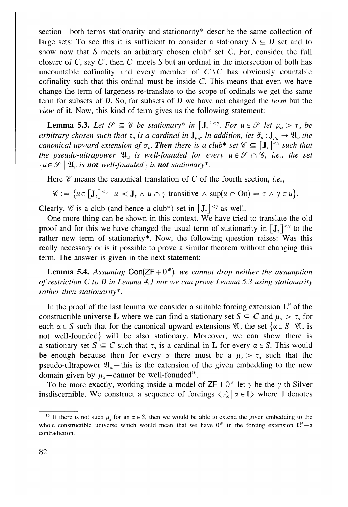section —both terms stationarity and stationarity\* describe the same collection of large sets: To see this it is sufficient to consider a stationary  $S \subseteq D$  set and to show now that *S* meets an arbitrary chosen club\* set C*.* For, consider the full closure of  $C$ , say  $C'$ , then  $C'$  meets  $S$  but an ordinal in the intersection of both has uncountable cofinality and every member of  $C\setminus C$  has obviously countable cofinality such that this ordinal must be inside C*.* This means that even we have change the term of largeness re-translate to the scope of ordinals we get the same term for subsets of *D.* So, for subsets of *D* we have not changed the *term* but the *view* of it*.* Now, this kind of term gives us the following statement:

**Lemma 5.3.** Let  $\mathscr{S} \subseteq \mathscr{C}$  be stationary\* in  $[J_\tau]^{<\gamma}$ . For  $u \in \mathscr{S}$  let  $\mu_u > \tau_u$  be *arbitrary chosen such that*  $\tau_u$  *is a cardinal in*  $J_{\mu_u}$ . In addition, let  $\tilde{\sigma}_u: J_{\mu_u} \to \mathfrak{A}_u$  the *canonical upward extension of*  $\sigma_u$ . **Then** there is a club\* set  $\mathscr{C} \subseteq [\mathbf{J}_\tau]^{< \gamma}$  such that *the pseudo-ultrapower*  $\mathfrak{A}_u$  *is well-founded for every*  $u \in \mathcal{S} \cap \mathcal{C}$ *, i.e., the set*  $\{u \in \mathcal{S} \mid \mathfrak{A}_u$  *is not well-founded* is **not** stationary\*.

Here  $\mathscr C$  means the canonical translation of  $C$  of the fourth section, *i.e.*,

$$
\mathscr{C} := \{ u \in [\mathbf{J}_{\tau}]^{<\gamma} \mid u \prec \mathbf{J}_{\tau} \wedge u \cap \gamma \text{ transitive } \wedge \sup(u \cap \mathbf{O}_n) = \tau \wedge \gamma \in u \}.
$$

Clearly,  $\mathscr C$  is a club (and hence a club\*) set in  $[J_\tau]^{<\gamma}$  as well.

One more thing can be shown in this context. We have tried to translate the old proof and for this we have changed the usual term of stationarity in  $[J_\tau]^{<\gamma}$  to the rather new term of stationarity\*. Now, the following question raises: Was this really necessary or is it possible to prove a similar theorem without changing this term. The answer is given in the next statement:

**Lemma 5.4.** Assuming  $Con(ZF+0^*)$ , we cannot drop neither the assumption *of restriction C to D in Lemma 4.1 nor we can prove Lemma 5.3 using stationarity rather then stationarity\*.* 

In the proof of the last lemma we consider a suitable forcing extension  $L^p$  of the constructible universe L where we can find a stationary set  $S \subseteq C$  and  $\mu_{\alpha} > \tau_{\alpha}$  for each  $\alpha \in S$  such that for the canonical upward extensions  $\mathfrak{A}_{\alpha}$  the set  $\{\alpha \in S \mid \mathfrak{A}_{\alpha} \text{ is }$ not well-founded} will be also stationary*.* Moreover, we can show there is a stationary set  $S \subseteq C$  such that  $\tau_{\alpha}$  is a cardinal in L for every  $\alpha \in S$ . This would be enough because then for every  $\alpha$  there must be a  $\mu_{\alpha} > \tau_{\alpha}$  such that the pseudo-ultrapower  $\mathfrak{A}_{n}$  — this is the extension of the given embedding to the new domain given by  $\mu_{\alpha}$  — cannot be well-founded<sup>16</sup>.

To be more exactly, working inside a model of  $ZF + 0^*$  let  $\gamma$  be the  $\gamma$ -th Silver insdiscernible. We construct a sequence of forcings  $\langle \mathbb{P}_\alpha | \alpha \in \mathbb{I} \rangle$  where  $\mathbb I$  denotes

<sup>&</sup>lt;sup>16</sup> If there is not such  $\mu_{\alpha}$  for an  $\alpha \in S$ , then we would be able to extend the given embedding to the whole constructible universe which would mean that we have  $0^*$  in the forcing extension  $L^p - a$ cont*r*adiction.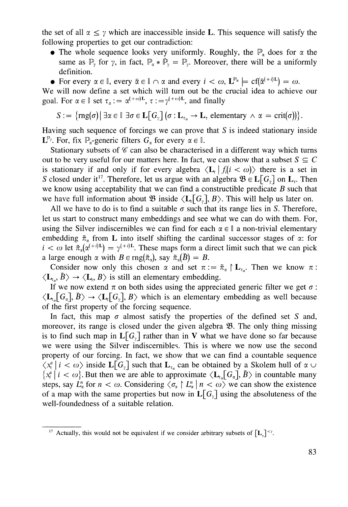the set of all  $\alpha \leq \gamma$  which are inaccessible inside L. This sequence will satisfy the following properties to get our contradiction:

- The whole sequence looks very uniformly. Roughly, the  $\mathbb{P}_x$  does for  $\alpha$  the same as  $\mathbb{P}_y$  for  $\gamma$ , in fact,  $\mathbb{P}_x * \mathbb{P}_y = \mathbb{P}_y$ *.* Moreover, there will be a uniformly definition.
- For every  $\alpha \in \mathbb{I}$ , every  $\bar{\alpha} \in \mathbb{I} \cap \alpha$  and every  $i < \omega$ ,  $\mathbf{L}^{\mathbb{P}_{\alpha}} \models \text{cf}(\bar{\alpha}^{(+i)\mathbf{L}}) = \omega$ .

We will now define a set which will turn out be the crucial idea to achieve our goal. For  $\alpha \in \mathbb{I}$  set  $\tau_{\alpha} := \alpha^{(+\omega)L}$ ,  $\tau := \gamma^{(+\omega)L}$ , and finally

$$
S := \{ rng(\sigma) | \exists \alpha \in \mathbb{I} \; \exists \sigma \in \mathbf{L} \big[ G_{\gamma} \big] \big( \sigma : \mathbf{L}_{\tau_{\alpha}} \to \mathbf{L}_{\tau} \text{ elementary } \wedge \alpha = \text{crit}(\sigma) \big) \}.
$$

Having such sequence of forcings we can prove that *S* is indeed stationary inside  $L^{\mathbb{P}_{\gamma}}$ . For, fix  $\mathbb{P}_{\alpha}$ -generic filters  $G_{\alpha}$  for every  $\alpha \in \mathbb{I}$ .

Stationary subsets of  $\mathscr C$  can also be characterised in a different way which turns out to be very useful for our matters here. In fact, we can show that a subset  $S \subseteq C$ is stationary if and only if for every algebra  $\langle L_t | f_t | i \rangle \langle \omega \rangle$  there is a set in *S* closed under it<sup>17</sup>. Therefore, let us argue with an algebra  $\mathfrak{B} \in L[G_{\gamma}]$  on  $L_{\tau}$ . Then we know using acceptability that we can find a constructible predicate *B* such that we have full information about  $\mathfrak{B}$  inside  $\langle L_t[G_y], B \rangle$ . This will help us later on.

All we have to do is to find a suitable  $\sigma$  such that its range lies in *S*. Therefore, let us start to construct many embeddings and see what we can do with them. For, using the Silver indiscernibles we can find for each  $\alpha \in \mathbb{I}$  a non-trivial elementary embedding  $\tilde{\pi}_{\alpha}$  from L into itself shifting the cardinal successor stages of  $\alpha$ : for  $i < \omega$  let  $\tilde{\pi}_{\alpha}(\alpha^{(+i)L}) = \gamma^{(+i)L}$ . These maps form a direct limit such that we can pick a large enough  $\alpha$  with  $B \in \text{rng}(\tilde{\pi}_\alpha)$ , say  $\tilde{\pi}_\alpha(\bar{B}) = B$ .

Consider now only this chosen  $\alpha$  and set  $\pi := \tilde{\pi}_{\alpha} \upharpoonright L_{\tau_{\alpha}}$ . Then we know  $\pi$ :  $\langle L_{\tau} , \bar{B} \rangle \rightarrow \langle L_{\tau} , B \rangle$  is still an elementary embedding.

If we now extend  $\pi$  on both sides using the appreciated generic filter we get  $\sigma$ :  $\langle L_{\tau_{\alpha}}[G_{\alpha}], \bar{B} \rangle \rightarrow \langle L_{\tau}[G_{\nu}], B \rangle$  which is an elementary embedding as well because of the first property of the forcing sequence*.* 

In fact, this map  $\sigma$  almost satisfy the properties of the defined set *S* and, moreover, its range is closed under the given algebra 23*.* The only thing missing is to find such map in  $L[G_y]$  rather than in V what we have done so far because we were using the Silver indiscernibles. This is where we now use the second property of our forcing. In fact, we show that we can find a countable sequence  $\langle x_i^{\alpha} | i \langle \omega \rangle$  inside  $\mathbf{L}[G_{\nu}]$  such that  $\mathbf{L}_{\tau_{\alpha}}$  can be obtained by a Skolem hull of  $\alpha \cup$  ${x_i \mid i < \omega}$ . But then we are able to approximate  ${L_{t_\alpha}[G_\alpha], \overline{B}}$  in countable many steps, say  $L_{\alpha}^{n}$  for  $n < \omega$ . Considering  $\langle \sigma_{\alpha} \rangle L_{\alpha}^{n} | n < \omega \rangle$  we can show the existence of a map with the same properties but now in  $L[G_{y}]$  using the absoluteness of the well-foundedness of a suitable relation*.* 

<sup>&</sup>lt;sup>17</sup> Actually, this would not be equivalent if we consider arbitrary subsets of  $[L]^{2\gamma}$ .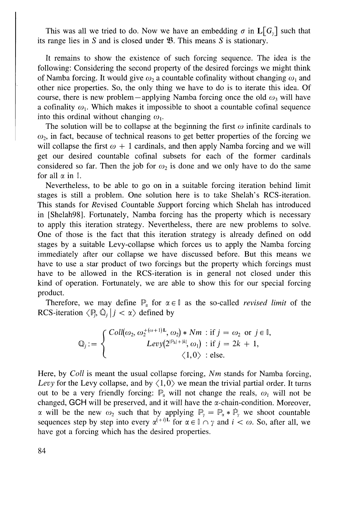This was all we tried to do. Now we have an embedding  $\sigma$  in  $\mathbf{L}[G_{\nu}]$  such that its range lies in S and is closed under **B**. This means S is stationary.

It remains to show the existence of such forcing sequence. The idea is the following: Considering the second property of the desired forcings we might think of Namba forcing. It would give  $\omega_2$  a countable cofinality without changing  $\omega_1$  and other nice properties*.* So, the only thing we have to do is to iterate this idea*.* Of course, there is new problem – applying Namba forcing once the old  $\omega_3$  will have a cofinality  $\omega_1$ . Which makes it impossible to shoot a countable cofinal sequence into this ordinal without changing  $\omega_{1}$ .

The solution will be to collapse at the beginning the first  $\omega$  infinite cardinals to  $\omega_2$ , in fact, because of technical reasons to get better properties of the forcing we will collapse the first  $\omega + 1$  cardinals, and then apply Namba forcing and we will get our desired countable cofinal subsets for each of the former cardinals considered so far. Then the job for  $\omega_2$  is done and we only have to do the same for all  $\alpha$  in  $\mathbb{I}$ .

Nevertheless, to be able to go on in a suitable forcing iteration behind limit stages is still a problem*.* One solution here is to take Shelah's RCS-iteration*.*  This stands for *K*evised *C*ountable *S*upport forcing which Shelah has introduced in [Shelah98], Fortunately, Namba forcing has the property which is necessary to apply this iteration strategy. Nevertheless, there are new problems to solve. One of those is the fact that this iteration strategy is already defined on odd stages by a suitable Levy-collapse which forces us to apply the Namba forcing immediately after our collapse we have discussed before. But this means we have to use a star product of two forcings but the property which forcings must have to be allowed in the RCS-iteration is in general not closed under this kind of operation. Fortunately, we are able to show this for our special forcing product.

Therefore, we may define  $\mathbb{P}_{\alpha}$  for  $\alpha \in \mathbb{I}$  as the so-called *revised limit* of the RCS-iteration  $\langle P_i, \mathbb{Q}_i | j < \alpha \rangle$  defined by

$$
\mathbb{Q}_j := \begin{cases}\n\text{Coll}(\omega_2, \omega_2^{+(\omega+1)L}, \omega_2) * Nm : \text{if } j = \omega_2 \text{ or } j \in \mathbb{I}, \\
\text{Levy}(2^{\mathbb{P}_k|+|k|}, \omega_1) : \text{if } j = 2k + 1, \\
\langle 1, 0 \rangle : \text{else.} \n\end{cases}
$$

Here, by *Coll* is meant the usual collapse forcing, *Nm* stands for Namba forcing, *Levy* for the Levy collapse, and by  $\langle 1,0 \rangle$  we mean the trivial partial order. It turns out to be a very friendly forcing:  $\mathbb{P}_{\alpha}$  will not change the reals,  $\omega_{1}$  will not be changed, GCH will be preserved, and it will have the  $\alpha$ -chain-condition. Moreover,  $\alpha$  will be the new  $\omega_2$  such that by applying  $\mathbb{P}_{\gamma} = \mathbb{P}_{\alpha} * \dot{\mathbb{P}}_{\gamma}$  we shoot countable sequences step by step into every  $\alpha^{(+i)L}$  for  $\alpha \in \mathbb{I} \cap \gamma$  and  $i < \omega$ . So, after all, we have got a forcing which has the desired properties.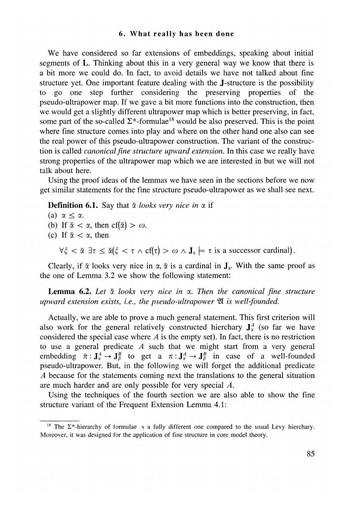## **6.** W**hat reall**y **has been done**

We have considered so far extensions of embeddings, speaking about initial segments of L. Thinking about this in a very general way we know that there is a bit more we could do. In fact, to avoid details we have not talked about fine structure yet. One important feature dealing with the J-structure is the possibility to go one step further considering the preserving properties of the pseudo-ultrapower map. If we gave a bit more functions into the construction, then we would get a slightly different ultrapower map which is better preserving, in fact, some part of the so-called  $\Sigma^*$ -formulae<sup>18</sup> would be also preserved. This is the point where fine structure comes into play and where on the other hand one also can see the real power of this pseudo-ultrapower construction. The variant of the construction is called *canonical fine structure upward extension.* In this case we really have strong properties of the ultrapower map which we are interested in but we will not talk about here.

Using the proof ideas of the lemmas we have seen in the sections before we now get similar statements for the fine structure pseudo-ultrapower as we shall see next.

**Definition 6.1.** Say that  $\bar{\alpha}$  looks very nice in  $\alpha$  if

(a)  $\alpha \leq \alpha$ .

- (b) If  $\bar{\alpha} < \alpha$ , then cf( $\bar{\alpha}$ ) >  $\omega$ .
- (c) If  $\bar{\alpha} < \alpha$ , then

 $\forall \xi < \bar{\alpha} \exists \tau \leq \bar{\alpha}(\xi < \tau \wedge cf(\tau) > \omega \wedge J_{\alpha} \models \tau \text{ is a successor cardinal}).$ 

Clearly, if  $\bar{\alpha}$  looks very nice in  $\alpha$ ,  $\bar{\alpha}$  is a cardinal in  $J_{\alpha}$ . With the same proof as the one of Lemma 3.2 we show the following statement:

**Lemma 6.2.** Let  $\bar{\alpha}$  looks very nice in  $\alpha$ . Then the canonical fine structure *upward extension exists, i.e., the pseudo-ultrapower* 21 *is well-founded.* 

Actually, we are able to prove a much general statement. This first criterion will also work for the general relatively constructed hierchary  $J_{\alpha}^{A}$  (so far we have considered the special case where *A* is the empty set). In fact, there is no restriction to use a general predicate *A* such that we might start from a very general embedding  $\bar{\pi}: J^A_x \to J^B_\beta$  to get a  $\pi: J^A_x \to J^B_\beta$  in case of a well-founded pseudo-ultrapower. But, in the following we will forget the additional predicate *A* because for the statements coming next the translations to the general situation are much harder and are only possible for very special *A.* 

Using the techniques of the fourth section we are also able to show the fine structure variant of the Frequent Extension Lemma 4.1:

**<sup>18</sup>** The 2\*-hie*r*a*r*chy of io*r*mulae s a fully diffe*r*e*n*t o*n*e compa*r*ed to the usu*a*l Levy hie*r*cha*r*y. Mo*r*eove*r*, it was desig*n*ed fo*r* the applicatio*n* of fine st*r*uctu*r*e i*n* co*r*e model theo*r*y*.*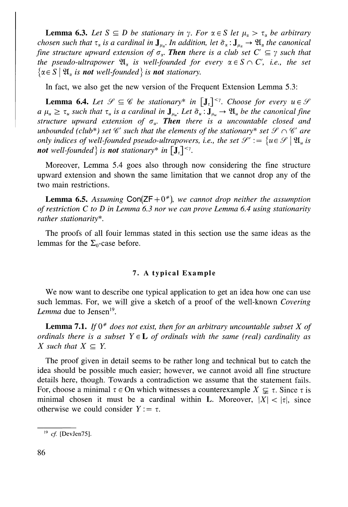**Lemma 6.3.** Let  $S \subseteq D$  be stationary in  $\gamma$ . For  $\alpha \in S$  let  $\mu_{\alpha} > \tau_{\alpha}$  be arbitrary *chosen such that*  $\tau_{\alpha}$  *is a cardinal in*  $J_{\mu}$ *. In addition, let*  $\tilde{\sigma}_{\alpha}$ *:*  $J_{\mu}$   $\to$   $\mathfrak{A}_{\alpha}$ *the canonical fine structure upward extension of*  $\sigma_{\alpha}$ *. Then there is a club set*  $C' \subseteq \gamma$  *such that the pseudo-ultrapower*  $\mathfrak{A}_n$  *is well-founded for every*  $\alpha \in S \cap C'$ , *i.e., the set*  $\{\alpha \in S \mid \mathfrak{A}_\alpha$  *is not well-founded* is **not** stationary.

In fact, we also get the new version of the Frequent Extension Lemma 5.3:

**Lemma 6.4.** Let  $\mathcal{S} \subseteq \mathcal{C}$  be stationary\* in  $[J_{\tau}]^{<\gamma}$ . Choose for every  $u \in \mathcal{S}$  $a \mu_u \ge \tau_u$  such that  $\tau_u$  is a cardinal in  $J_{\mu_u}$ . Let  $\tilde{\sigma}_u : J_{\mu_u} \to \mathfrak{A}_u$  be the canonical fine *structure upward extension of*  $\sigma_u$ . **Then** there is a uncountable closed and *unbounded (club\*) set*  $\mathscr{C}'$  *such that the elements of the stationary\* set*  $\mathscr{S} \cap \mathscr{C}'$  *are only indices of well-founded pseudo-ultrapowers, i.e., the set*  $\mathcal{S}' := \{u \in \mathcal{S} \mid \mathfrak{A}_u\}$  *is not* well-founded } is **not** stationary\* in  $[J_{\tau}]^{<\gamma}$ .

Moreover, Lemma 5.4 goes also through now considering the fine structure upward extension and shown the same limitation that we cannot drop any of the two main restrictions.

**Lemma 6.5.** Assuming  $Con(ZF+0^*)$ , we cannot drop neither the assumption *of restriction C to D in Lemma 6.3 nor we can prove Lemma 6.4 using stationarity rather stationarity\*.* 

The proofs of all fouir lemmas stated in this section use the same ideas as the lemmas for the  $\Sigma_0$ -case before.

## 7**.** A **t**y**pical Example**

We now want to describe one typical application to get an idea how one can use such lemmas. For, we will give a sketch of a proof of the well-known *Covering*  Lemma due to Jensen<sup>19</sup>.

**Lemma 7.1.** *If*  $0^*$  does not exist, then for an arbitrary uncountable subset X of *ordinals there is a subset*  $Y \in L$  *of ordinals with the same (real) cardinality as X* such that  $X \subseteq Y$ .

The proof given in detail seems to be rather long and technical but to catch the idea should be possible much easier; however, we cannot avoid all fine structure details here, though. Towards a contradiction we assume that the statement fails. For, choose a minimal  $\tau \in \text{On which}$  witnesses a counterexample  $X \subsetneq \tau$ . Since  $\tau$  is minimal chosen it must be a cardinal within L. Moreover,  $|X| < |\tau|$ , since otherwise we could consider  $Y: = \tau$ .

<sup>19</sup>  *cf.* [DevJen75].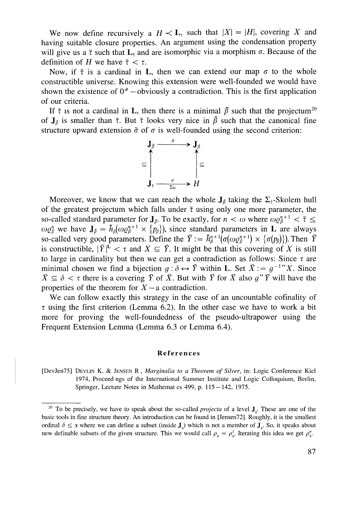We now define recursively a  $H \prec L_{\tau}$  such that  $|X| = |H|$ , covering X and having suitable closure properties. An argument using the condensation property will give us a  $\bar{\tau}$  such that  $L_{\bar{\tau}}$  and are isomorphic via a morphism  $\sigma$ . Because of the definition of *H* we have  $\bar{\tau} < \tau$ .

Now, if  $\bar{\tau}$  is a cardinal in L, then we can extend our map  $\sigma$  to the whole constructible universe. Knowing this extension were well-founded we would have shown the existence of  $0^*$  – obviously a contradiction. This is the first application of our criteria.

If  $\bar{\tau}$  is not a cardinal in L, then there is a minimal  $\beta$  such that the projectum<sup>20</sup> of  $J_{\bar{\beta}}$  is smaller than  $\bar{\tau}$ . But  $\bar{\tau}$  looks very nice in  $\bar{\beta}$  such that the canonical fine



Moreover, we know that we can reach the whole  $J_\beta$  taking the  $\Sigma_1$ -Skolem hull of the greatest projectum which falls under  $\bar{\tau}$  using only one more parameter, the so-called standard parameter for  $J_{\bar{\beta}}$ . To be exactly, for  $n < \omega$  where  $\omega \varrho_{\bar{\beta}}^{n+1} < \bar{\tau} \leq 1$  $\omega Q_{\beta}^n$  we have  $J_{\beta} = h_{\beta}(\omega Q_{\beta}^{n+1} \times \{p_{\beta}\})$ , since standard parameters in L are always so-called very good parameters. Define the  $\tilde{Y} := \tilde{h}_{\beta}^{n+1}(\sigma(\omega \varrho_{\beta}^{n+1}) \times {\sigma(p_{\beta})})$ . Then  $\tilde{Y}$ is constructible,  $|\tilde{Y}|^L < \tau$  and  $X \subseteq \tilde{Y}$ . It might be that this covering of X is still to large in cardinality but then we can get a contradiction as follows: Since  $\tau$  are minimal chosen we find a bijection  $g : \delta \leftrightarrow \tilde{Y}$  within L. Set  $\bar{X} := g^{-1}X$ . Since  $\bar{X} \subseteq \delta$  <  $\tau$  there is a covering  $\bar{Y}$  of  $\bar{X}$ . But with  $\bar{Y}$  for  $\bar{X}$  also  $g''\bar{Y}$  will have the properties of the theorem for  $X - a$  contradiction.

We can follow exactly this strategy in the case of an uncountable cofinality of  $\tau$  using the first criterion (Lemma 6.2). In the other case we have to work a bit more for proving the well-foundedness of the pseudo-ultrapower using the Frequent Extension Lemma (Lemma 6.3 or Lemma 6.4).

#### **Reference s**

[DevJen75] DEVLIN K. & JENSEN R, *Marginalia to a Theorem of Silver,* in: Logic Confe*r*ence Kiel 1974, P*r*oceed ngs of the Inte*r*national Summe*r* Institute and Logic Colloquium, Berlin, Springer, Lecture Notes in Mathemat cs 499, p. 115 — 142, 1975.

<sup>&</sup>lt;sup>20</sup> To be precisely, we have to speak about the so-called *projecta* of a level **J**<sub>a</sub>. These are one of the basic tools i*n* fi*n*e st*r*uctu*r*e theo*r*y. A*n* i*n*t*r*oductio*n* ca*n* be fou*n*d i*n* [Je*n*se*n*72]. Roughly, it is the smallest ordinal  $\delta \leq \alpha$  where we can define a subset (inside  $J_{\alpha}$ ) which is not a member of  $J_{\alpha}$ . So, it speaks about new definable subsets of the given structure. This we would call  $\rho_{\alpha} = \rho_{\alpha}^1$ . Iterating this idea we get  $\rho_{\alpha}^n$ .